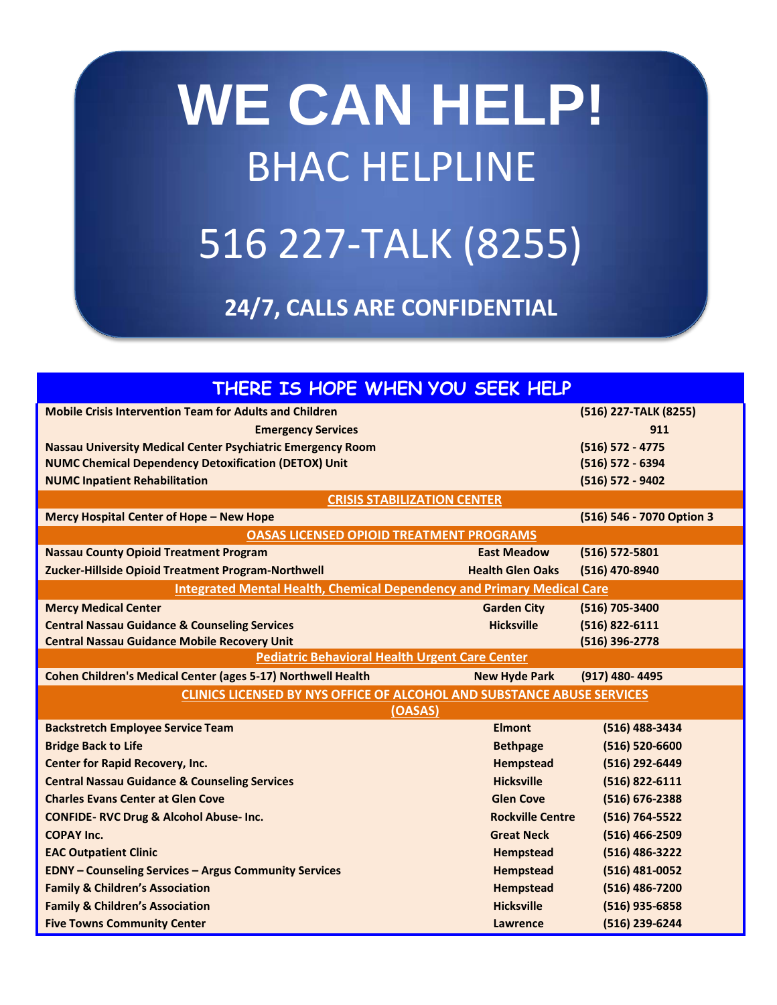## **WE CAN HELP!** BHAC HELPLINE 516 227-TALK (8255)

**24/7, CALLS ARE CONFIDENTIAL**

| THERE IS HOPE WHEN YOU SEEK HELP                                              |                         |                           |  |
|-------------------------------------------------------------------------------|-------------------------|---------------------------|--|
| <b>Mobile Crisis Intervention Team for Adults and Children</b>                |                         | (516) 227-TALK (8255)     |  |
| <b>Emergency Services</b>                                                     |                         | 911                       |  |
| Nassau University Medical Center Psychiatric Emergency Room                   |                         | (516) 572 - 4775          |  |
| <b>NUMC Chemical Dependency Detoxification (DETOX) Unit</b>                   |                         | (516) 572 - 6394          |  |
| <b>NUMC Inpatient Rehabilitation</b>                                          |                         | (516) 572 - 9402          |  |
| <b>CRISIS STABILIZATION CENTER</b>                                            |                         |                           |  |
| Mercy Hospital Center of Hope - New Hope                                      |                         | (516) 546 - 7070 Option 3 |  |
| <b>OASAS LICENSED OPIOID TREATMENT PROGRAMS</b>                               |                         |                           |  |
| <b>Nassau County Opioid Treatment Program</b>                                 | <b>East Meadow</b>      | (516) 572-5801            |  |
| Zucker-Hillside Opioid Treatment Program-Northwell                            | <b>Health Glen Oaks</b> | (516) 470-8940            |  |
| <b>Integrated Mental Health, Chemical Dependency and Primary Medical Care</b> |                         |                           |  |
| <b>Mercy Medical Center</b>                                                   | <b>Garden City</b>      | (516) 705-3400            |  |
| <b>Central Nassau Guidance &amp; Counseling Services</b>                      | <b>Hicksville</b>       | (516) 822-6111            |  |
| <b>Central Nassau Guidance Mobile Recovery Unit</b>                           |                         | (516) 396-2778            |  |
| <b>Pediatric Behavioral Health Urgent Care Center</b>                         |                         |                           |  |
| <b>Cohen Children's Medical Center (ages 5-17) Northwell Health</b>           | <b>New Hyde Park</b>    | (917) 480-4495            |  |
| <b>CLINICS LICENSED BY NYS OFFICE OF ALCOHOL AND SUBSTANCE ABUSE SERVICES</b> |                         |                           |  |
| (OASAS)                                                                       |                         |                           |  |
| <b>Backstretch Employee Service Team</b>                                      | <b>Elmont</b>           | (516) 488-3434            |  |
| <b>Bridge Back to Life</b>                                                    | <b>Bethpage</b>         | (516) 520-6600            |  |
| <b>Center for Rapid Recovery, Inc.</b>                                        | <b>Hempstead</b>        | (516) 292-6449            |  |
| <b>Central Nassau Guidance &amp; Counseling Services</b>                      | <b>Hicksville</b>       | (516) 822-6111            |  |
| <b>Charles Evans Center at Glen Cove</b>                                      | <b>Glen Cove</b>        | (516) 676-2388            |  |
| <b>CONFIDE- RVC Drug &amp; Alcohol Abuse- Inc.</b>                            | <b>Rockville Centre</b> | (516) 764-5522            |  |
| <b>COPAY Inc.</b>                                                             | <b>Great Neck</b>       | (516) 466-2509            |  |
| <b>EAC Outpatient Clinic</b>                                                  | <b>Hempstead</b>        | (516) 486-3222            |  |
| <b>EDNY - Counseling Services - Argus Community Services</b>                  | <b>Hempstead</b>        | (516) 481-0052            |  |
| <b>Family &amp; Children's Association</b>                                    | <b>Hempstead</b>        | (516) 486-7200            |  |
| <b>Family &amp; Children's Association</b>                                    | <b>Hicksville</b>       | (516) 935-6858            |  |
| <b>Five Towns Community Center</b>                                            | Lawrence                | (516) 239-6244            |  |